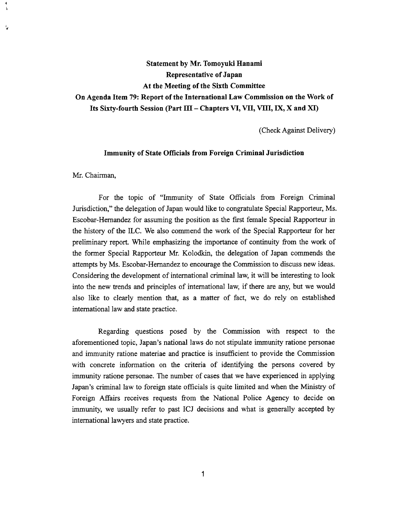# **Statement by Mr. Tomoyuki Hanami Representative of Japan At the Meeting of the Sixth Committee On Agenda Item 79: Report of the International Law Commission on the Work of**  Its Sixty-fourth Session (Part III – Chapters VI, VII, VIII, IX, X and XI)

(Check Against Delivery)

# **Immunity of State Officials from Foreign Criminal Jurisdiction**

Mr. Chairman,

For the topic of "Immunity of State Officials from Foreign Criminal Jurisdiction," the delegation of Japan would like to congratulate Special Rapporteur, Ms. Escobar-Hernandez for assuming the position as the first female Special Rapporteur in the history of the ILC. We also commend the work of the Special Rapporteur for her preliminary report. While emphasizing the importance of continuity from the work of the former Special Rapporteur Mr. Kolodkin, the delegation of Japan commends the attempts by Ms. Escobar-Hernandez to encourage the Commission to discuss new ideas. Considering the development of international criminal law, it will be interesting to look into the new trends and principles of international law, if there are any, but we would also like to clearly mention that, as a matter of fact, we do rely on established international law and state practice.

Regarding questions posed by the Commission with respect to the aforementioned topic, Japan's national laws do not stipulate immunity ratione personae and immunity ratione materiae and practice is insufficient to provide the Commission with concrete information on the criteria of identifying the persons covered by immunity ratione personae. The number of cases that we have experienced in applying Japan's criminal law to foreign state officials is quite limited and when the Ministry of Foreign Affairs receives requests from the National Police Agency to decide on immunity, we usually refer to past ICJ decisions and what is generally accepted by international lawyers and state practice.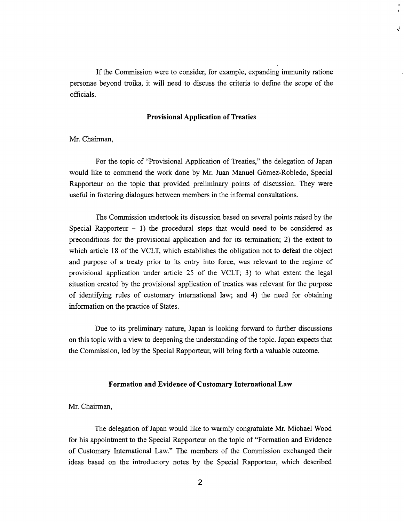If the Commission were to consider, for example, expanding immunity ratione personae beyond troika, it will need to discuss the criteria to define the scope of the officials.

÷.

J.

## **Provisional Application of Treaties**

Mr. Chairman,

For the topic of "Provisional Application of Treaties," the delegation of Japan would like to commend the work done by Mr. Juan Manuel Gómez-Robledo, Special Rapporteur on the topic that provided preliminary points of discussion. They were useful in fostering dialogues between members in the informal consultations.

The Commission undertook its discussion based on several points raised by the Special Rapporteur  $-1$ ) the procedural steps that would need to be considered as preconditions for the provisional application and for its termination; 2) the extent to which article 18 of the VCLT, which establishes the obligation not to defeat the object and purpose of a treaty prior to its entry into force, was relevant to the regime of provisional application under article 25 of the VCLT; 3) to what extent the legal situation created by the provisional application of treaties was relevant for the purpose of identifying rules of customary international law; and 4) the need for obtaining information on the practice of States.

Due to its preliminary nature, Japan is looking forward to further discussions on this topic with a view to deepening the understanding of the topic. Japan expects that the Commission, led by the Special Rapporteur, will bring forth a valuable outcome.

## **Formation and Evidence of Customary International Law**

Mr. Chairman,

The delegation of Japan would like to warmly congratulate Mr. Michael Wood for his appointment to the Special Rapporteur on the topic of "Formation and Evidence of Customary International Law." The members of the Commission exchanged their ideas based on the introductory notes by the Special Rapporteur, which described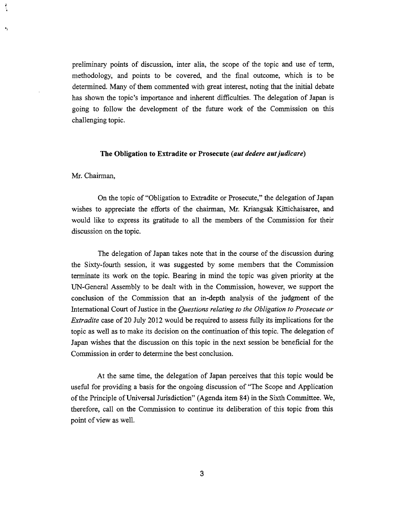preliminary points of discussion, inter alia, the scope of the topic and use of term, methodology, and points to be covered, and the final outcome, which is to be determined. Many of them commented with great interest, noting that the initial debate has shown the topic's importance and inherent difficulties. The delegation of Japan is going to follow the development of the future work of the Commission on this challenging topic.

#### **The Obligation to Extradite or Prosecute** *(aut dedere autjudicare)*

Mr. Chairman,

 $\bullet_i$ 

On the topic of "Obligation to Extradite or Prosecute," the delegation of Japan wishes to appreciate the efforts of the chairman, Mr. Kriangsak Kittichaisaree, and would like to express its gratitude to all the members of the Commission for their discussion on the topic.

The delegation of Japan takes note that in the course of the discussion during the Sixty-fourth session, it was suggested by some members that the Commission terminate its work on the topic. Bearing in mind the topic was given priority at the UN-General Assembly to be dealt with in the Commission, however, we support the conclusion of the Commission that an in-depth analysis of the judgment of the International Court of Justice in the *Questions relating to the Obligation to Prosecute or Extradite* case of 20 July 2012 would be required to assess fully its implications for the topic as well as to make its decision on the continuation of this topic. The delegation of Japan wishes that the discussion on this topic in the next session be beneficial for the Commission in order to determine the best conclusion.

At the same time, the delegation of Japan perceives that this topic would be useful for providing a basis for the ongoing discussion of "The Scope and Application of the Principle of Universal Jurisdiction" (Agenda item 84) in the Sixth Committee. We, therefore, call on the Commission to continue its deliberation of this topic from this point of view as well.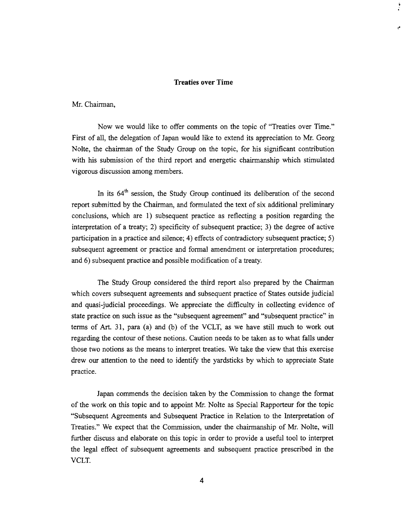## **Treaties over Time**

; .

Mr. Chairman,

Now we would like to offer comments on the topic of "Treaties over Time." First of all, the delegation of Japan would like to extend its appreciation to Mr. Georg Nolte, the chairman of the Study Group on the topic, for his significant contribution with his submission of the third report and energetic chairmanship which stimulated vigorous discussion among members.

In its  $64<sup>th</sup>$  session, the Study Group continued its deliberation of the second report submitted by the Chairman, and formulated the text of six additional preliminary conclusions, which are 1) subsequent practice as reflecting a position regarding the interpretation of a treaty; 2) specificity of subsequent practice; 3) the degree of active participation in a practice and silence; 4) effects of contradictory subsequent practice; 5) subsequent agreement or practice and formal amendment or interpretation procedures; and 6) subsequent practice and possible modification of a treaty.

The Study Group considered the third report also prepared by the Chairman which covers subsequent agreements and subsequent practice of States outside judicial and quasi-judicial proceedings. We appreciate the difficulty in collecting evidence of state practice on such issue as the "subsequent agreement" and "subsequent practice" in terms of Art. 31, para (a) and (b) of the VCLT, as we have still much to work out regarding the contour of these notions. Caution needs to be taken as to what falls under those two notions as the means to interpret treaties. We take the view that this exercise drew our attention to the need to identify the yardsticks by which to appreciate State practice.

Japan commends the decision taken by the Commission to change the format of the work on this topic and to appoint Mr. Nolte as Special Rapporteur for the topic "Subsequent Agreements and Subsequent Practice in Relation to the Interpretation of Treaties." We expect that the Commission, under the chairmanship of Mr. Nolte, will further discuss and elaborate on this topic in order to provide a useful tool to interpret the legal effect of subsequent agreements and subsequent practice prescribed in the VCLT.